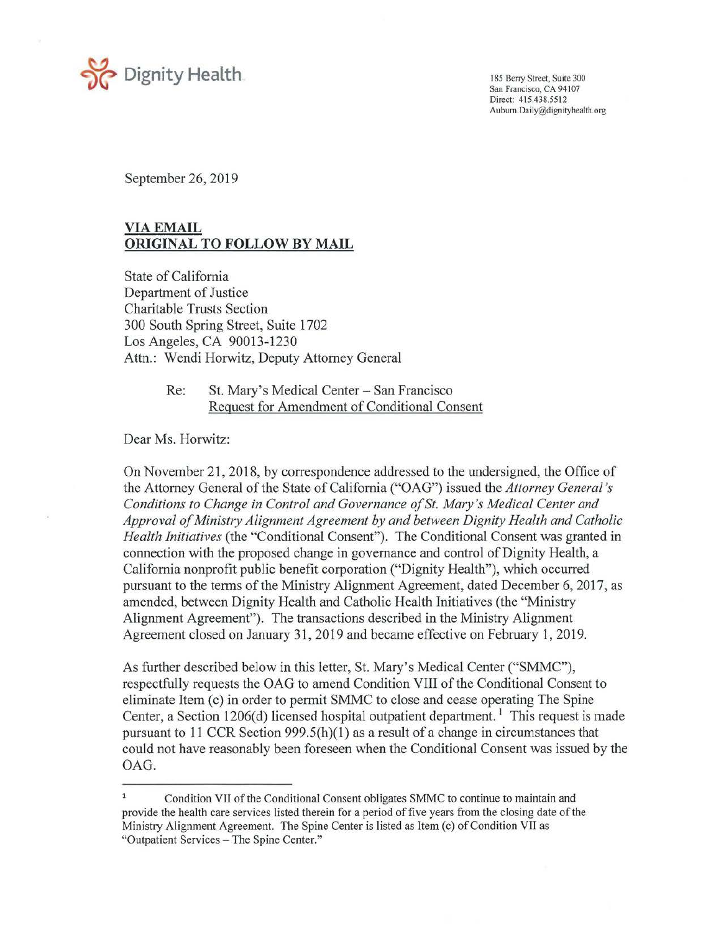

San Francisco, CA 94107 Direct: 415.438.5512 [Aubum.Daily@dignityhealth.org](mailto:Aubum.Daily@dignityhealth.org)

September 26, 2019

## **VIA EMAIL ORIGINAL TO FOLLOW BY MAIL**

State of California Department of Justice Charitable Trusts Section 300 South Spring Street, Suite 1702 Los Angeles, CA 90013-1230 Attn.: Wendi Horwitz, Deputy Attorney General

> Re: St. Mary's Medical Center- San Francisco Request for Amendment of Conditional Consent

Dear Ms. Horwitz:

On November 21, 2018, by correspondence addressed to the undersigned, the Office of the Attorney General of the State of California ("OAG") issued the *Attorney General's Conditions to Change in Control and Governance of St. Mary's Medical Center and Approval of Ministry Alignment Agreement by and between Dignity Health and Catholic Health Initiatives* (the "Conditional Consent"). The Conditional Consent was granted in connection with the proposed change in governance and control of Dignity Health, a California nonprofit public benefit corporation ("Dignity Health"), which occurred pursuant to the terms of the Ministry Alignment Agreement, dated December 6, 2017, as amended, between Dignity Health and Catholic Health Initiatives (the "Ministry Alignment Agreement"). The transactions described in the Ministry Alignment Agreement closed on January 31, 2019 and became effective on February 1, 2019.

As further described below in this letter, St. Mary's Medical Center ("SMMC"), respectfully requests the OAG to amend Condition VIII of the Conditional Consent to eliminate Item (c) in order to permit SMMC to close and cease operating The Spine Center, a Section 1206(d) licensed hospital outpatient department.<sup>1</sup> This request is made pursuant to 11 CCR Section 999 .5(h)(l) as a result of a change in circumstances that could not have reasonably been foreseen when the Conditional Consent was issued by the OAG.

Condition VII of the Conditional Consent obligates SMMC to continue to maintain and provide the health care services listed therein for a period of five years from the closing date of the Ministry Alignment Agreement. The Spine Center is listed as Item (c) of Condition VII as "Outpatient Services - The Spine Center."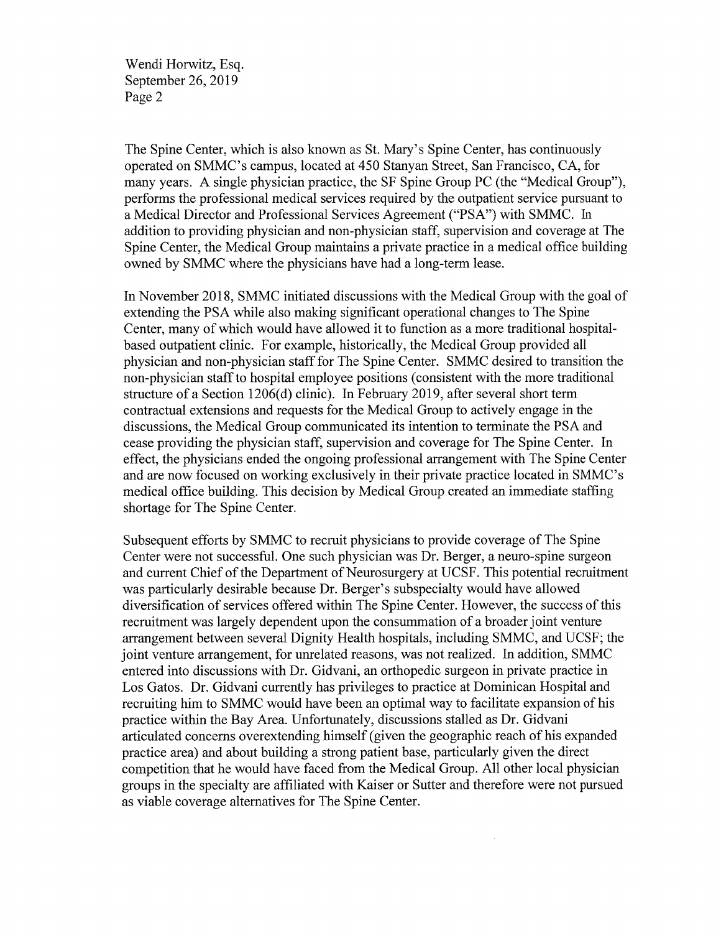Wendi Horwitz, Esq. September 26, 2019 Page 2

The Spine Center, which is also known as St. Mary's Spine Center, has continuously operated on SMMC's campus, located at 450 Stanyan Street, San Francisco, CA, for many years. A single physician practice, the SF Spine Group PC (the "Medical Group"), performs the professional medical services required by the outpatient service pursuant to a Medical Director and Professional Services Agreement ("PSA") with SMMC. In addition to providing physician and non-physician staff, supervision and coverage at The Spine Center, the Medical Group maintains a private practice in a medical office building owned by SMMC where the physicians have had a long-term lease.

In November 2018, SMMC initiated discussions with the Medical Group with the goal of extending the PSA while also making significant operational changes to The Spine Center, many of which would have allowed it to function as a more traditional hospitalbased outpatient clinic. For example, historically, the Medical Group provided all physician and non-physician staff for The Spine Center. SMMC desired to transition the non-physician staff to hospital employee positions ( consistent with the more traditional structure of a Section 1206(d) clinic). In February 2019, after several short term contractual extensions and requests for the Medical Group to actively engage in the discussions, the Medical Group communicated its intention to terminate the PSA and cease providing the physician staff, supervision and coverage for The Spine Center. In effect, the physicians ended the ongoing professional arrangement with The Spine Center and are now focused on working exclusively in their private practice located in SMMC's medical office building. This decision by Medical Group created an immediate staffing shortage for The Spine Center.

Subsequent efforts by SMMC to recruit physicians to provide coverage of The Spine Center were not successful. One such physician was Dr. Berger, a neuro-spine surgeon and current Chief of the Department of Neurosurgery at UCSF. This potential recruitment was particularly desirable because Dr. Berger's subspecialty would have allowed diversification of services offered within The Spine Center. However, the success of this recruitment was largely dependent upon the consummation of a broader joint venture arrangement between several Dignity Health hospitals, including SMMC, and UCSF; the joint venture arrangement, for unrelated reasons, was not realized. In addition, SMMC entered into discussions with Dr. Gidvani, an orthopedic surgeon in private practice in Los Gatos. Dr. Gidvani currently has privileges to practice at Dominican Hospital and recruiting him to SMMC would have been an optimal way to facilitate expansion of his practice within the Bay Area. Unfortunately, discussions stalled as Dr. Gidvani articulated concerns overextending himself (given the geographic reach of his expanded practice area) and about building a strong patient base, particularly given the direct competition that he would have faced from the Medical Group. All other local physician groups in the specialty are affiliated with Kaiser or Sutter and therefore were not pursued as viable coverage alternatives for The Spine Center.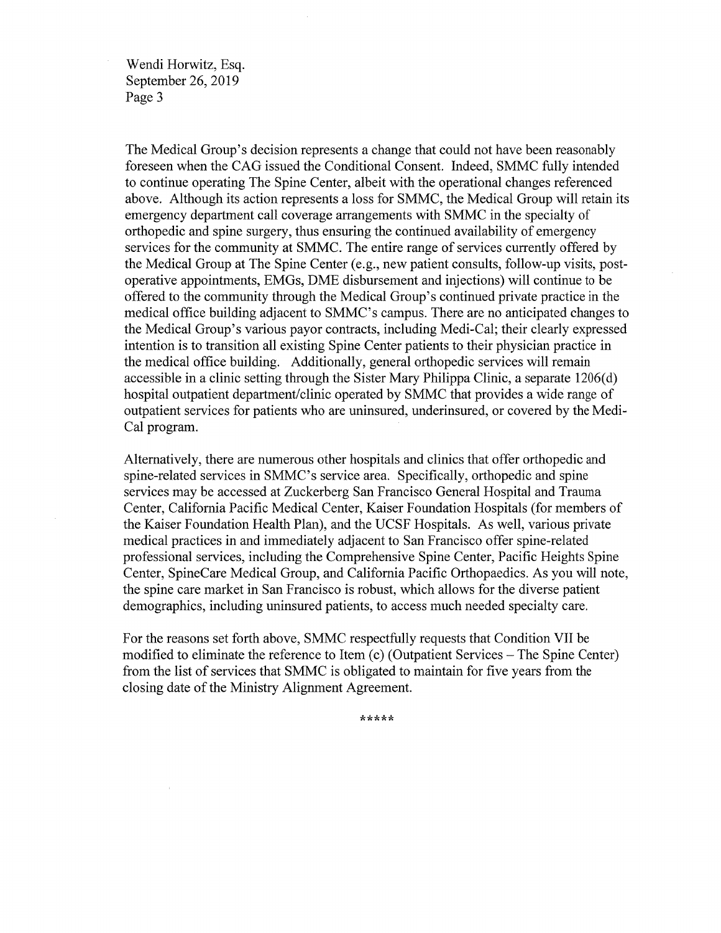Wendi Horwitz, Esq. September 26, 2019 Page 3

The Medical Group's decision represents a change that could not have been reasonably foreseen when the CAO issued the Conditional Consent. Indeed, SMMC fully intended to continue operating The Spine Center, albeit with the operational changes referenced above. Although its action represents a loss for SMMC, the Medical Group will retain its emergency department call coverage arrangements with SMMC in the specialty of orthopedic and spine surgery, thus ensuring the continued availability of emergency services for the community at SMMC. The entire range of services currently offered by the Medical Group at The Spine Center (e.g., new patient consults, follow-up visits, postoperative appointments, EMGs, DME disbursement and injections) will continue to be offered to the community through the Medical Group's continued private practice in the medical office building adjacent to SMMC's campus. There are no anticipated changes to the Medical Group's various payor contracts, including Medi-Cal; their clearly expressed intention is to transition all existing Spine Center patients to their physician practice in the medical office building. Additionally, general orthopedic services will remain accessible in a clinic setting through the Sister Mary Philippa Clinic, a separate 1206(d) hospital outpatient department/clinic operated by SMMC that provides a wide range of outpatient services for patients who are uninsured, underinsured, or covered by the Medi-Cal program.

Alternatively, there are numerous other hospitals and clinics that offer orthopedic and spine-related services in SMMC's service area. Specifically, orthopedic and spine services may be accessed at Zuckerberg San Francisco General Hospital and Trauma Center, California Pacific Medical Center, Kaiser Foundation Hospitals (for members of the Kaiser Foundation Health Plan), and the UCSF Hospitals. As well, various private medical practices in and immediately adjacent to San Francisco offer spine-related professional services, including the Comprehensive Spine Center, Pacific Heights Spine Center, SpineCare Medical Group, and California Pacific Orthopaedics. As you will note, the spine care market in San Francisco is robust, which allows for the diverse patient demographics, including uninsured patients, to access much needed specialty care.

For the reasons set forth above, SMMC respectfully requests that Condition VII be modified to eliminate the reference to Item (c) (Outpatient Services – The Spine Center) from the list of services that SMMC is obligated to maintain for five years from the closing date of the Ministry Alignment Agreement.

\*\*\*\*\*